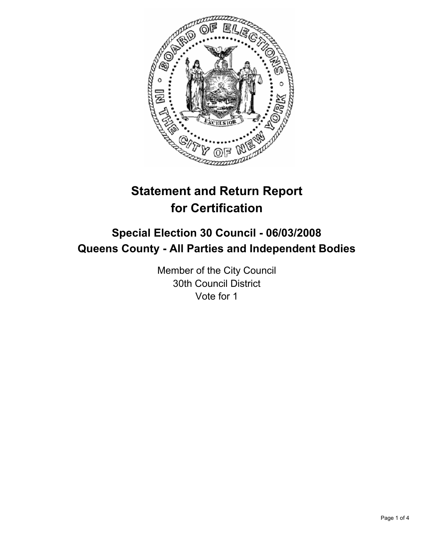

# **Statement and Return Report for Certification**

## **Special Election 30 Council - 06/03/2008 Queens County - All Parties and Independent Bodies**

Member of the City Council 30th Council District Vote for 1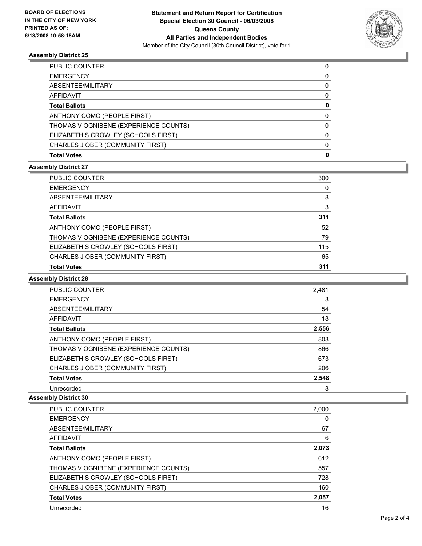

## **Assembly District 25**

| PUBLIC COUNTER                        |  |
|---------------------------------------|--|
| <b>EMERGENCY</b>                      |  |
| ABSENTEE/MILITARY                     |  |
| <b>AFFIDAVIT</b>                      |  |
| <b>Total Ballots</b>                  |  |
| ANTHONY COMO (PEOPLE FIRST)           |  |
| THOMAS V OGNIBENE (EXPERIENCE COUNTS) |  |
| ELIZABETH S CROWLEY (SCHOOLS FIRST)   |  |
| CHARLES J OBER (COMMUNITY FIRST)      |  |
| <b>Total Votes</b>                    |  |

## **Assembly District 27**

| <b>PUBLIC COUNTER</b>                 | 300 |
|---------------------------------------|-----|
| <b>EMERGENCY</b>                      |     |
| ABSENTEE/MILITARY                     | 8   |
| AFFIDAVIT                             |     |
| <b>Total Ballots</b>                  | 311 |
| ANTHONY COMO (PEOPLE FIRST)           | 52  |
| THOMAS V OGNIBENE (EXPERIENCE COUNTS) | 79  |
| ELIZABETH S CROWLEY (SCHOOLS FIRST)   | 115 |
| CHARLES J OBER (COMMUNITY FIRST)      | 65  |
| <b>Total Votes</b>                    | 311 |

#### **Assembly District 28**

| <b>PUBLIC COUNTER</b>                 | 2,481 |
|---------------------------------------|-------|
| <b>EMERGENCY</b>                      | 3     |
| ABSENTEE/MILITARY                     | 54    |
| AFFIDAVIT                             | 18    |
| <b>Total Ballots</b>                  | 2,556 |
| ANTHONY COMO (PEOPLE FIRST)           | 803   |
| THOMAS V OGNIBENE (EXPERIENCE COUNTS) | 866   |
| ELIZABETH S CROWLEY (SCHOOLS FIRST)   | 673   |
| CHARLES J OBER (COMMUNITY FIRST)      | 206   |
| <b>Total Votes</b>                    | 2,548 |
| Unrecorded                            | 8     |

## **Assembly District 30**

| <b>PUBLIC COUNTER</b>                 | 2,000 |
|---------------------------------------|-------|
| <b>EMERGENCY</b>                      |       |
| ABSENTEE/MILITARY                     | 67    |
| AFFIDAVIT                             | 6     |
| <b>Total Ballots</b>                  | 2,073 |
| ANTHONY COMO (PEOPLE FIRST)           | 612   |
| THOMAS V OGNIBENE (EXPERIENCE COUNTS) | 557   |
| ELIZABETH S CROWLEY (SCHOOLS FIRST)   | 728   |
| CHARLES J OBER (COMMUNITY FIRST)      | 160   |
| <b>Total Votes</b>                    | 2,057 |
| Unrecorded                            | 16    |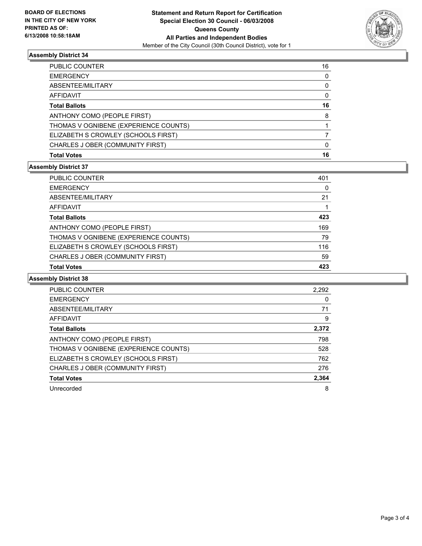

## **Assembly District 34**

| PUBLIC COUNTER                        | 16 |
|---------------------------------------|----|
| <b>EMERGENCY</b>                      |    |
| ABSENTEE/MILITARY                     |    |
| AFFIDAVIT                             |    |
| <b>Total Ballots</b>                  | 16 |
| ANTHONY COMO (PEOPLE FIRST)           | 8  |
| THOMAS V OGNIBENE (EXPERIENCE COUNTS) |    |
| ELIZABETH S CROWLEY (SCHOOLS FIRST)   |    |
| CHARLES J OBER (COMMUNITY FIRST)      |    |
| <b>Total Votes</b>                    | 16 |

## **Assembly District 37**

| CHARLES J OBER (COMMUNITY FIRST)      | 59  |
|---------------------------------------|-----|
| ELIZABETH S CROWLEY (SCHOOLS FIRST)   | 116 |
| THOMAS V OGNIBENE (EXPERIENCE COUNTS) | 79  |
| ANTHONY COMO (PEOPLE FIRST)           | 169 |
| <b>Total Ballots</b>                  | 423 |
| AFFIDAVIT                             |     |
| ABSENTEE/MILITARY                     | 21  |
| <b>EMERGENCY</b>                      |     |
| <b>PUBLIC COUNTER</b>                 | 401 |

#### **Assembly District 38**

| <b>PUBLIC COUNTER</b>                 | 2,292 |
|---------------------------------------|-------|
| <b>EMERGENCY</b>                      |       |
| ABSENTEE/MILITARY                     | 71    |
| AFFIDAVIT                             | 9     |
| <b>Total Ballots</b>                  | 2,372 |
| ANTHONY COMO (PEOPLE FIRST)           | 798   |
| THOMAS V OGNIBENE (EXPERIENCE COUNTS) | 528   |
| ELIZABETH S CROWLEY (SCHOOLS FIRST)   | 762   |
| CHARLES J OBER (COMMUNITY FIRST)      | 276   |
| <b>Total Votes</b>                    | 2,364 |
| Unrecorded                            | 8     |